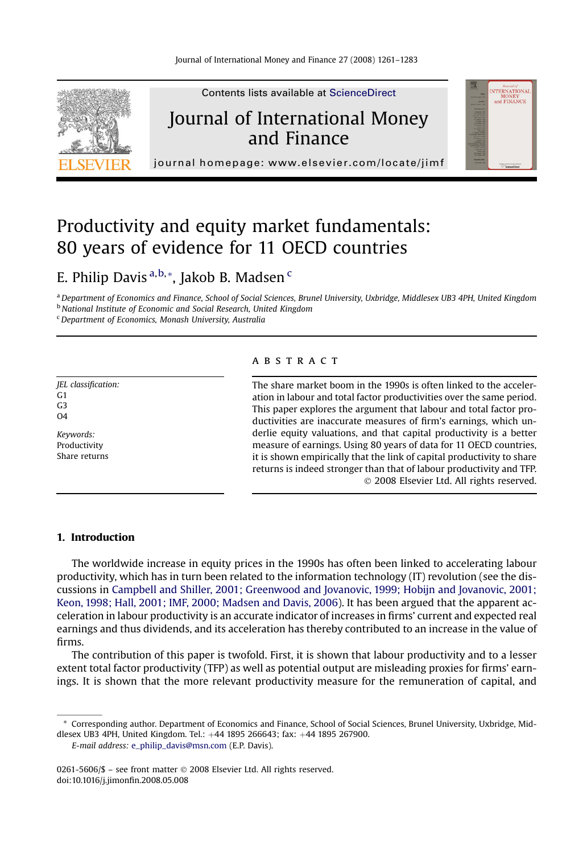

## Productivity and equity market fundamentals: 80 years of evidence for 11 OECD countries

### E. Philip Davis <sup>a, b,</sup> \*, Jakob B. Madsen <sup>c</sup>

a Department of Economics and Finance, School of Social Sciences, Brunel University, Uxbridge, Middlesex UB3 4PH, United Kingdom

**b** National Institute of Economic and Social Research, United Kingdom

 $c$  Department of Economics, Monash University, Australia

JEL classification:  $G<sub>1</sub>$ G3  $\Omega$ 

Keywords: Productivity Share returns

#### ABSTRACT

The share market boom in the 1990s is often linked to the acceleration in labour and total factor productivities over the same period. This paper explores the argument that labour and total factor productivities are inaccurate measures of firm's earnings, which underlie equity valuations, and that capital productivity is a better measure of earnings. Using 80 years of data for 11 OECD countries, it is shown empirically that the link of capital productivity to share returns is indeed stronger than that of labour productivity and TFP. - 2008 Elsevier Ltd. All rights reserved.

#### 1. Introduction

The worldwide increase in equity prices in the 1990s has often been linked to accelerating labour productivity, which has in turn been related to the information technology (IT) revolution (see the discussions in [Campbell and Shiller, 2001; Greenwood and Jovanovic, 1999; Hobijn and Jovanovic, 2001;](#page--1-0) [Keon, 1998; Hall, 2001; IMF, 2000; Madsen and Davis, 2006](#page--1-0)). It has been argued that the apparent acceleration in labour productivity is an accurate indicator of increases in firms' current and expected real earnings and thus dividends, and its acceleration has thereby contributed to an increase in the value of firms.

The contribution of this paper is twofold. First, it is shown that labour productivity and to a lesser extent total factor productivity (TFP) as well as potential output are misleading proxies for firms' earnings. It is shown that the more relevant productivity measure for the remuneration of capital, and

<sup>\*</sup> Corresponding author. Department of Economics and Finance, School of Social Sciences, Brunel University, Uxbridge, Middlesex UB3 4PH, United Kingdom. Tel.: +44 1895 266643; fax: +44 1895 267900.

E-mail address: [e\\_philip\\_davis@msn.com](mailto:e_philip_davis@msn.com) (E.P. Davis).

<sup>0261-5606/\$ –</sup> see front matter © 2008 Elsevier Ltd. All rights reserved. doi:10.1016/j.jimonfin.2008.05.008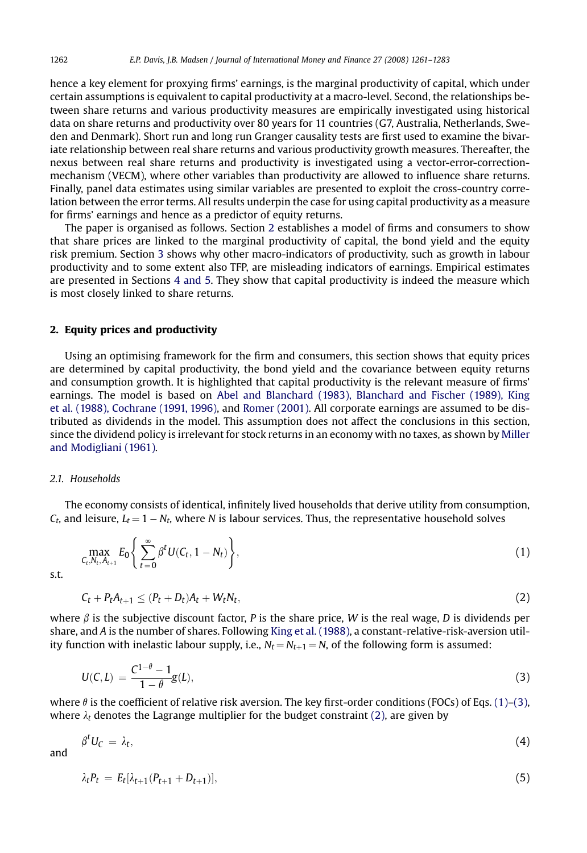hence a key element for proxying firms' earnings, is the marginal productivity of capital, which under certain assumptions is equivalent to capital productivity at a macro-level. Second, the relationships between share returns and various productivity measures are empirically investigated using historical data on share returns and productivity over 80 years for 11 countries (G7, Australia, Netherlands, Sweden and Denmark). Short run and long run Granger causality tests are first used to examine the bivariate relationship between real share returns and various productivity growth measures. Thereafter, the nexus between real share returns and productivity is investigated using a vector-error-correctionmechanism (VECM), where other variables than productivity are allowed to influence share returns. Finally, panel data estimates using similar variables are presented to exploit the cross-country correlation between the error terms. All results underpin the case for using capital productivity as a measure for firms' earnings and hence as a predictor of equity returns.

The paper is organised as follows. Section 2 establishes a model of firms and consumers to show that share prices are linked to the marginal productivity of capital, the bond yield and the equity risk premium. Section [3](#page--1-0) shows why other macro-indicators of productivity, such as growth in labour productivity and to some extent also TFP, are misleading indicators of earnings. Empirical estimates are presented in Sections [4 and 5](#page--1-0). They show that capital productivity is indeed the measure which is most closely linked to share returns.

#### 2. Equity prices and productivity

Using an optimising framework for the firm and consumers, this section shows that equity prices are determined by capital productivity, the bond yield and the covariance between equity returns and consumption growth. It is highlighted that capital productivity is the relevant measure of firms' earnings. The model is based on [Abel and Blanchard \(1983\), Blanchard and Fischer \(1989\), King](#page--1-0) [et al. \(1988\), Cochrane \(1991, 1996\),](#page--1-0) and [Romer \(2001\)](#page--1-0). All corporate earnings are assumed to be distributed as dividends in the model. This assumption does not affect the conclusions in this section, since the dividend policy is irrelevant for stock returns in an economy with no taxes, as shown by [Miller](#page--1-0) [and Modigliani \(1961\).](#page--1-0)

#### 2.1. Households

The economy consists of identical, infinitely lived households that derive utility from consumption,  $\mathcal{C}_\textit{t}$ , and leisure,  $L_\textit{t} = 1 - N_\textit{t}$ , where N is labour services. Thus, the representative household solves

$$
\max_{C_t, N_t, A_{t+1}} E_0 \left\{ \sum_{t=0}^{\infty} \beta^t U(C_t, 1 - N_t) \right\},\tag{1}
$$

s.t.

$$
C_t + P_t A_{t+1} \leq (P_t + D_t) A_t + W_t N_t, \qquad (2)
$$

where  $\beta$  is the subjective discount factor, P is the share price, W is the real wage, D is dividends per share, and A is the number of shares. Following [King et al. \(1988\),](#page--1-0) a constant-relative-risk-aversion utility function with inelastic labour supply, i.e.,  $N_t = N_{t+1} = N$ , of the following form is assumed:

$$
U(C, L) = \frac{C^{1-\theta} - 1}{1 - \theta} g(L),
$$
\n(3)

where  $\theta$  is the coefficient of relative risk aversion. The key first-order conditions (FOCs) of Eqs. (1)–(3), where  $\lambda_t$  denotes the Lagrange multiplier for the budget constraint (2), are given by

$$
\beta^t U_C = \lambda_t,\tag{4}
$$

and

$$
\lambda_t P_t = E_t[\lambda_{t+1}(P_{t+1} + D_{t+1})],\tag{5}
$$